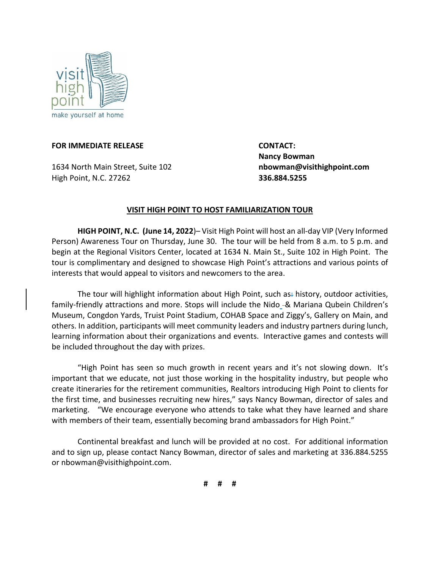

## **FOR IMMEDIATE RELEASE CONTACT:**

1634 North Main Street, Suite 102 **nbowman@visithighpoint.com** High Point, N.C. 27262 **336.884.5255**

 **Nancy Bowman**

## **VISIT HIGH POINT TO HOST FAMILIARIZATION TOUR**

**HIGH POINT, N.C. (June 14, 2022**)– Visit High Point will host an all-day VIP (Very Informed Person) Awareness Tour on Thursday, June 30. The tour will be held from 8 a.m. to 5 p.m. and begin at the Regional Visitors Center, located at 1634 N. Main St., Suite 102 in High Point. The tour is complimentary and designed to showcase High Point's attractions and various points of interests that would appeal to visitors and newcomers to the area.

The tour will highlight information about High Point, such as history, outdoor activities, family-friendly attractions and more. Stops will include the Nido -& Mariana Qubein Children's Museum, Congdon Yards, Truist Point Stadium, COHAB Space and Ziggy's, Gallery on Main, and others. In addition, participants will meet community leaders and industry partners during lunch, learning information about their organizations and events. Interactive games and contests will be included throughout the day with prizes.

"High Point has seen so much growth in recent years and it's not slowing down. It's important that we educate, not just those working in the hospitality industry, but people who create itineraries for the retirement communities, Realtors introducing High Point to clients for the first time, and businesses recruiting new hires," says Nancy Bowman, director of sales and marketing. "We encourage everyone who attends to take what they have learned and share with members of their team, essentially becoming brand ambassadors for High Point."

Continental breakfast and lunch will be provided at no cost. For additional information and to sign up, please contact Nancy Bowman, director of sales and marketing at 336.884.5255 or nbowman@visithighpoint.com.

**# # #**